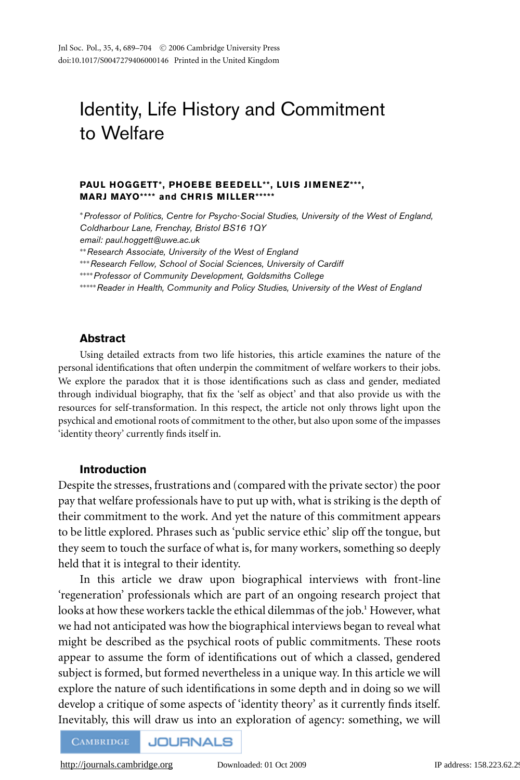# Identity, Life History and Commitment to Welfare

#### PAUL HOGGETT\*, PHOEBE BEEDELL\*\*, LUIS JIMENEZ\*\*\*, **MARJ MAYO\*\*\*\* and CHRIS MILLER\*\*\*\*\***

<sup>∗</sup>*Professor of Politics, Centre for Psycho-Social Studies, University of the West of England, Coldharbour Lane, Frenchay, Bristol BS16 1QY email: paul.hoggett@uwe.ac.uk* ∗∗*Research Associate, University of the West of England* ∗∗∗*Research Fellow, School of Social Sciences, University of Cardiff* ∗∗∗∗*Professor of Community Development, Goldsmiths College* ∗∗∗∗∗*Reader in Health, Community and Policy Studies, University of the West of England*

### **Abstract**

Using detailed extracts from two life histories, this article examines the nature of the personal identifications that often underpin the commitment of welfare workers to their jobs. We explore the paradox that it is those identifications such as class and gender, mediated through individual biography, that fix the 'self as object' and that also provide us with the resources for self-transformation. In this respect, the article not only throws light upon the psychical and emotional roots of commitment to the other, but also upon some of the impasses 'identity theory' currently finds itself in.

### **Introduction**

Despite the stresses, frustrations and (compared with the private sector) the poor pay that welfare professionals have to put up with, what is striking is the depth of their commitment to the work. And yet the nature of this commitment appears to be little explored. Phrases such as 'public service ethic' slip off the tongue, but they seem to touch the surface of what is, for many workers, something so deeply held that it is integral to their identity.

In this article we draw upon biographical interviews with front-line 'regeneration' professionals which are part of an ongoing research project that looks at how these workers tackle the ethical dilemmas of the job.<sup>1</sup> However, what we had not anticipated was how the biographical interviews began to reveal what might be described as the psychical roots of public commitments. These roots appear to assume the form of identifications out of which a classed, gendered subject is formed, but formed nevertheless in a unique way. In this article we will explore the nature of such identifications in some depth and in doing so we will develop a critique of some aspects of 'identity theory' as it currently finds itself. Inevitably, this will draw us into an exploration of agency: something, we will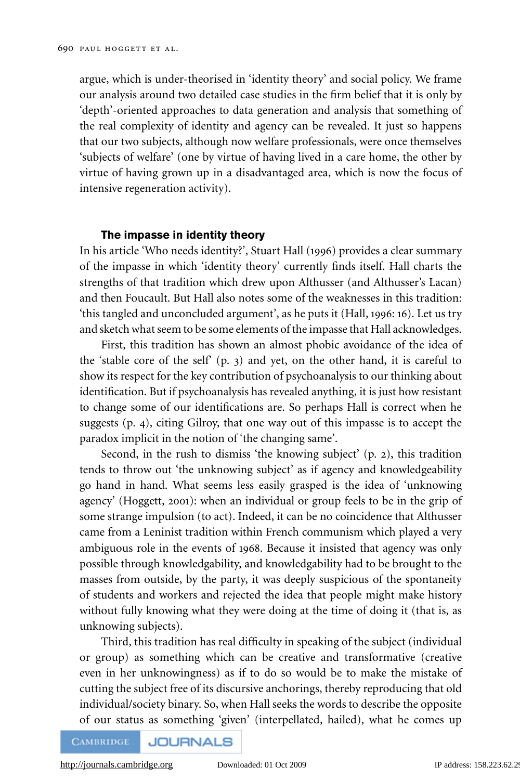argue, which is under-theorised in 'identity theory' and social policy. We frame our analysis around two detailed case studies in the firm belief that it is only by 'depth'-oriented approaches to data generation and analysis that something of the real complexity of identity and agency can be revealed. It just so happens that our two subjects, although now welfare professionals, were once themselves 'subjects of welfare' (one by virtue of having lived in a care home, the other by virtue of having grown up in a disadvantaged area, which is now the focus of intensive regeneration activity).

#### **The impasse in identity theory**

In his article 'Who needs identity?', Stuart Hall (1996) provides a clear summary of the impasse in which 'identity theory' currently finds itself. Hall charts the strengths of that tradition which drew upon Althusser (and Althusser's Lacan) and then Foucault. But Hall also notes some of the weaknesses in this tradition: 'this tangled and unconcluded argument', as he puts it (Hall, 1996: 16). Let us try and sketch what seem to be some elements of the impasse that Hall acknowledges.

First, this tradition has shown an almost phobic avoidance of the idea of the 'stable core of the self' (p. 3) and yet, on the other hand, it is careful to show its respect for the key contribution of psychoanalysis to our thinking about identification. But if psychoanalysis has revealed anything, it is just how resistant to change some of our identifications are. So perhaps Hall is correct when he suggests (p. 4), citing Gilroy, that one way out of this impasse is to accept the paradox implicit in the notion of 'the changing same'.

Second, in the rush to dismiss 'the knowing subject' (p. 2), this tradition tends to throw out 'the unknowing subject' as if agency and knowledgeability go hand in hand. What seems less easily grasped is the idea of 'unknowing agency' (Hoggett, 2001): when an individual or group feels to be in the grip of some strange impulsion (to act). Indeed, it can be no coincidence that Althusser came from a Leninist tradition within French communism which played a very ambiguous role in the events of 1968. Because it insisted that agency was only possible through knowledgability, and knowledgability had to be brought to the masses from outside, by the party, it was deeply suspicious of the spontaneity of students and workers and rejected the idea that people might make history without fully knowing what they were doing at the time of doing it (that is, as unknowing subjects).

Third, this tradition has real difficulty in speaking of the subject (individual or group) as something which can be creative and transformative (creative even in her unknowingness) as if to do so would be to make the mistake of cutting the subject free of its discursive anchorings, thereby reproducing that old individual/society binary. So, when Hall seeks the words to describe the opposite of our status as something 'given' (interpellated, hailed), what he comes up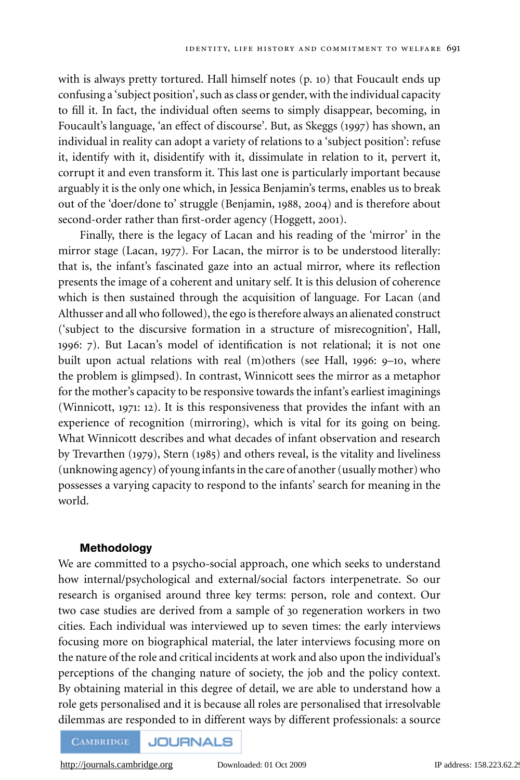with is always pretty tortured. Hall himself notes (p. 10) that Foucault ends up confusing a 'subject position', such as class or gender, with the individual capacity to fill it. In fact, the individual often seems to simply disappear, becoming, in Foucault's language, 'an effect of discourse'. But, as Skeggs (1997) has shown, an individual in reality can adopt a variety of relations to a 'subject position': refuse it, identify with it, disidentify with it, dissimulate in relation to it, pervert it, corrupt it and even transform it. This last one is particularly important because arguably it is the only one which, in Jessica Benjamin's terms, enables us to break out of the 'doer/done to' struggle (Benjamin, 1988, 2004) and is therefore about second-order rather than first-order agency (Hoggett, 2001).

Finally, there is the legacy of Lacan and his reading of the 'mirror' in the mirror stage (Lacan, 1977). For Lacan, the mirror is to be understood literally: that is, the infant's fascinated gaze into an actual mirror, where its reflection presents the image of a coherent and unitary self. It is this delusion of coherence which is then sustained through the acquisition of language. For Lacan (and Althusser and all who followed), the ego is therefore always an alienated construct ('subject to the discursive formation in a structure of misrecognition', Hall, 1996: 7). But Lacan's model of identification is not relational; it is not one built upon actual relations with real (m)others (see Hall, 1996: 9–10, where the problem is glimpsed). In contrast, Winnicott sees the mirror as a metaphor for the mother's capacity to be responsive towards the infant's earliest imaginings (Winnicott, 1971: 12). It is this responsiveness that provides the infant with an experience of recognition (mirroring), which is vital for its going on being. What Winnicott describes and what decades of infant observation and research by Trevarthen (1979), Stern (1985) and others reveal, is the vitality and liveliness (unknowing agency) of young infants in the care of another (usually mother) who possesses a varying capacity to respond to the infants' search for meaning in the world.

#### **Methodology**

We are committed to a psycho-social approach, one which seeks to understand how internal/psychological and external/social factors interpenetrate. So our research is organised around three key terms: person, role and context. Our two case studies are derived from a sample of 30 regeneration workers in two cities. Each individual was interviewed up to seven times: the early interviews focusing more on biographical material, the later interviews focusing more on the nature of the role and critical incidents at work and also upon the individual's perceptions of the changing nature of society, the job and the policy context. By obtaining material in this degree of detail, we are able to understand how a role gets personalised and it is because all roles are personalised that irresolvable dilemmas are responded to in different ways by different professionals: a source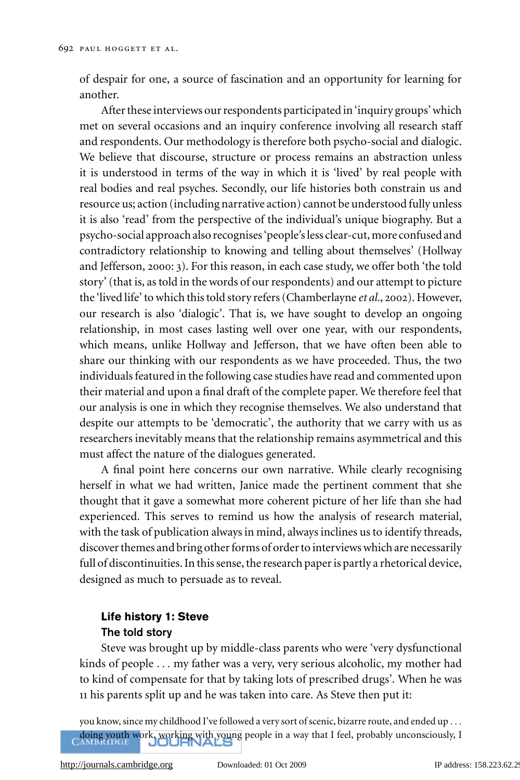of despair for one, a source of fascination and an opportunity for learning for another.

After these interviews our respondents participated in 'inquiry groups' which met on several occasions and an inquiry conference involving all research staff and respondents. Our methodology is therefore both psycho-social and dialogic. We believe that discourse, structure or process remains an abstraction unless it is understood in terms of the way in which it is 'lived' by real people with real bodies and real psyches. Secondly, our life histories both constrain us and resource us; action (including narrative action) cannot be understood fully unless it is also 'read' from the perspective of the individual's unique biography. But a psycho-social approach also recognises 'people's less clear-cut, more confused and contradictory relationship to knowing and telling about themselves' (Hollway and Jefferson, 2000: 3). For this reason, in each case study, we offer both 'the told story' (that is, as told in the words of our respondents) and our attempt to picture the 'lived life' to which this told story refers (Chamberlayne *et al.*, 2002). However, our research is also 'dialogic'. That is, we have sought to develop an ongoing relationship, in most cases lasting well over one year, with our respondents, which means, unlike Hollway and Jefferson, that we have often been able to share our thinking with our respondents as we have proceeded. Thus, the two individuals featured in the following case studies have read and commented upon their material and upon a final draft of the complete paper. We therefore feel that our analysis is one in which they recognise themselves. We also understand that despite our attempts to be 'democratic', the authority that we carry with us as researchers inevitably means that the relationship remains asymmetrical and this must affect the nature of the dialogues generated.

A final point here concerns our own narrative. While clearly recognising herself in what we had written, Janice made the pertinent comment that she thought that it gave a somewhat more coherent picture of her life than she had experienced. This serves to remind us how the analysis of research material, with the task of publication always in mind, always inclines us to identify threads, discover themes and bring other forms of order to interviews which are necessarily full of discontinuities. In this sense, the research paper is partly a rhetorical device, designed as much to persuade as to reveal.

## **Life history 1: Steve The told story**

Steve was brought up by middle-class parents who were 'very dysfunctional kinds of people *...* my father was a very, very serious alcoholic, my mother had to kind of compensate for that by taking lots of prescribed drugs'. When he was 11 his parents split up and he was taken into care. As Steve then put it:

you know, since my childhood I've followed a very sort of scenic, bizarre route, and ended up *...* doing youth work, working with young people in a way that I feel, probably unconsciously, I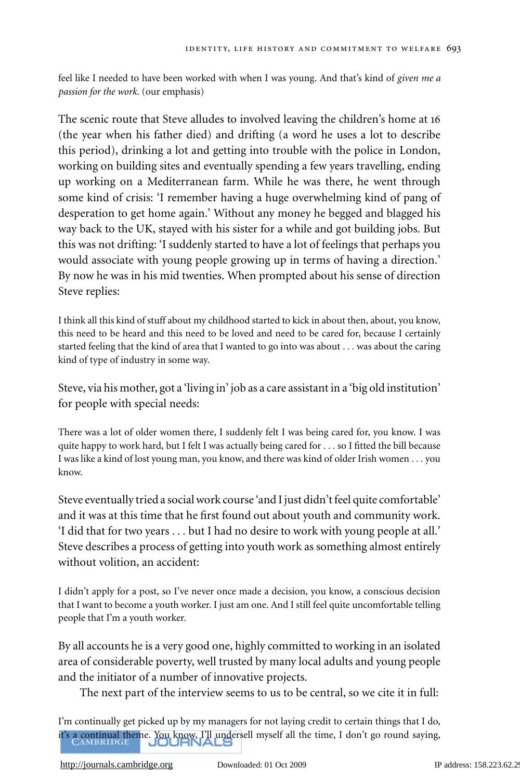feel like I needed to have been worked with when I was young. And that's kind of *given me a passion for the work.* (our emphasis)

The scenic route that Steve alludes to involved leaving the children's home at 16 (the year when his father died) and drifting (a word he uses a lot to describe this period), drinking a lot and getting into trouble with the police in London, working on building sites and eventually spending a few years travelling, ending up working on a Mediterranean farm. While he was there, he went through some kind of crisis: 'I remember having a huge overwhelming kind of pang of desperation to get home again.' Without any money he begged and blagged his way back to the UK, stayed with his sister for a while and got building jobs. But this was not drifting: 'I suddenly started to have a lot of feelings that perhaps you would associate with young people growing up in terms of having a direction.' By now he was in his mid twenties. When prompted about his sense of direction Steve replies:

I think all this kind of stuff about my childhood started to kick in about then, about, you know, this need to be heard and this need to be loved and need to be cared for, because I certainly started feeling that the kind of area that I wanted to go into was about *...* was about the caring kind of type of industry in some way.

Steve, via his mother, got a 'living in' job as a care assistant in a 'big old institution' for people with special needs:

There was a lot of older women there, I suddenly felt I was being cared for, you know. I was quite happy to work hard, but I felt I was actually being cared for *...* so I fitted the bill because I was like a kind of lost young man, you know, and there was kind of older Irish women *...* you know.

Steve eventually tried a social work course 'and I just didn't feel quite comfortable' and it was at this time that he first found out about youth and community work. 'I did that for two years *...* but I had no desire to work with young people at all.' Steve describes a process of getting into youth work as something almost entirely without volition, an accident:

I didn't apply for a post, so I've never once made a decision, you know, a conscious decision that I want to become a youth worker. I just am one. And I still feel quite uncomfortable telling people that I'm a youth worker.

By all accounts he is a very good one, highly committed to working in an isolated area of considerable poverty, well trusted by many local adults and young people and the initiator of a number of innovative projects.

The next part of the interview seems to us to be central, so we cite it in full:

I'm continually get picked up by my managers for not laying credit to certain things that I do, it's a continual theme. You know, I'll undersell myself all the time, I don't go round saying,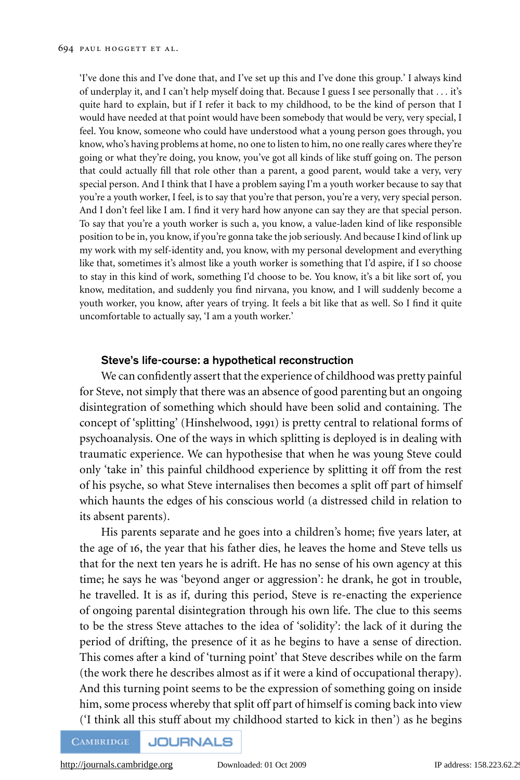'I've done this and I've done that, and I've set up this and I've done this group.' I always kind of underplay it, and I can't help myself doing that. Because I guess I see personally that *...* it's quite hard to explain, but if I refer it back to my childhood, to be the kind of person that I would have needed at that point would have been somebody that would be very, very special, I feel. You know, someone who could have understood what a young person goes through, you know, who's having problems at home, no one to listen to him, no one really cares where they're going or what they're doing, you know, you've got all kinds of like stuff going on. The person that could actually fill that role other than a parent, a good parent, would take a very, very special person. And I think that I have a problem saying I'm a youth worker because to say that you're a youth worker, I feel, is to say that you're that person, you're a very, very special person. And I don't feel like I am. I find it very hard how anyone can say they are that special person. To say that you're a youth worker is such a, you know, a value-laden kind of like responsible position to be in, you know, if you're gonna take the job seriously. And because I kind of link up my work with my self-identity and, you know, with my personal development and everything like that, sometimes it's almost like a youth worker is something that I'd aspire, if I so choose to stay in this kind of work, something I'd choose to be. You know, it's a bit like sort of, you know, meditation, and suddenly you find nirvana, you know, and I will suddenly become a youth worker, you know, after years of trying. It feels a bit like that as well. So I find it quite uncomfortable to actually say, 'I am a youth worker.'

### **Steve's life-course: a hypothetical reconstruction**

We can confidently assert that the experience of childhood was pretty painful for Steve, not simply that there was an absence of good parenting but an ongoing disintegration of something which should have been solid and containing. The concept of 'splitting' (Hinshelwood, 1991) is pretty central to relational forms of psychoanalysis. One of the ways in which splitting is deployed is in dealing with traumatic experience. We can hypothesise that when he was young Steve could only 'take in' this painful childhood experience by splitting it off from the rest of his psyche, so what Steve internalises then becomes a split off part of himself which haunts the edges of his conscious world (a distressed child in relation to its absent parents).

His parents separate and he goes into a children's home; five years later, at the age of 16, the year that his father dies, he leaves the home and Steve tells us that for the next ten years he is adrift. He has no sense of his own agency at this time; he says he was 'beyond anger or aggression': he drank, he got in trouble, he travelled. It is as if, during this period, Steve is re-enacting the experience of ongoing parental disintegration through his own life. The clue to this seems to be the stress Steve attaches to the idea of 'solidity': the lack of it during the period of drifting, the presence of it as he begins to have a sense of direction. This comes after a kind of 'turning point' that Steve describes while on the farm (the work there he describes almost as if it were a kind of occupational therapy). And this turning point seems to be the expression of something going on inside him, some process whereby that split off part of himself is coming back into view ('I think all this stuff about my childhood started to kick in then') as he begins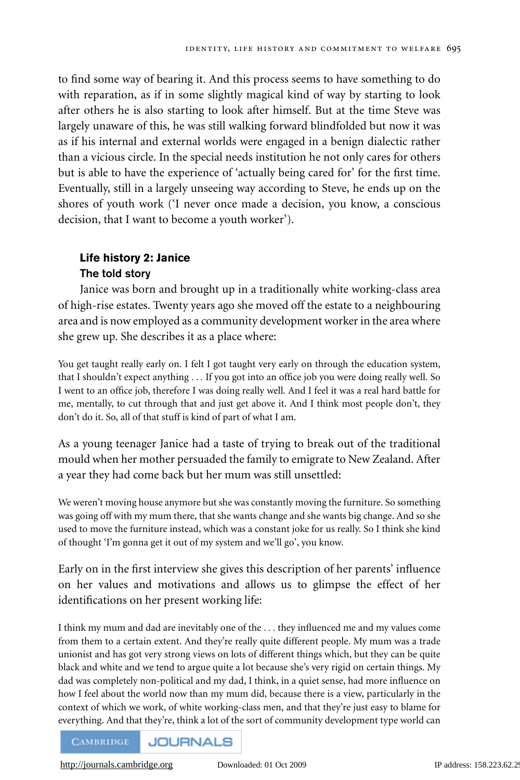to find some way of bearing it. And this process seems to have something to do with reparation, as if in some slightly magical kind of way by starting to look after others he is also starting to look after himself. But at the time Steve was largely unaware of this, he was still walking forward blindfolded but now it was as if his internal and external worlds were engaged in a benign dialectic rather than a vicious circle. In the special needs institution he not only cares for others but is able to have the experience of 'actually being cared for' for the first time. Eventually, still in a largely unseeing way according to Steve, he ends up on the shores of youth work ('I never once made a decision, you know, a conscious decision, that I want to become a youth worker').

# **Life history 2: Janice The told story**

Janice was born and brought up in a traditionally white working-class area of high-rise estates. Twenty years ago she moved off the estate to a neighbouring area and is now employed as a community development worker in the area where she grew up. She describes it as a place where:

You get taught really early on. I felt I got taught very early on through the education system, that I shouldn't expect anything *...* If you got into an office job you were doing really well. So I went to an office job, therefore I was doing really well. And I feel it was a real hard battle for me, mentally, to cut through that and just get above it. And I think most people don't, they don't do it. So, all of that stuff is kind of part of what I am.

As a young teenager Janice had a taste of trying to break out of the traditional mould when her mother persuaded the family to emigrate to New Zealand. After a year they had come back but her mum was still unsettled:

We weren't moving house anymore but she was constantly moving the furniture. So something was going off with my mum there, that she wants change and she wants big change. And so she used to move the furniture instead, which was a constant joke for us really. So I think she kind of thought 'I'm gonna get it out of my system and we'll go', you know.

Early on in the first interview she gives this description of her parents' influence on her values and motivations and allows us to glimpse the effect of her identifications on her present working life:

I think my mum and dad are inevitably one of the *...* they influenced me and my values come from them to a certain extent. And they're really quite different people. My mum was a trade unionist and has got very strong views on lots of different things which, but they can be quite black and white and we tend to argue quite a lot because she's very rigid on certain things. My dad was completely non-political and my dad, I think, in a quiet sense, had more influence on how I feel about the world now than my mum did, because there is a view, particularly in the context of which we work, of white working-class men, and that they're just easy to blame for everything. And that they're, think a lot of the sort of community development type world can

#### **CAMBRIDGE JOURNALS**

<http://journals.cambridge.org> Downloaded: 01 Oct 2009 IP address: 158.223.62.29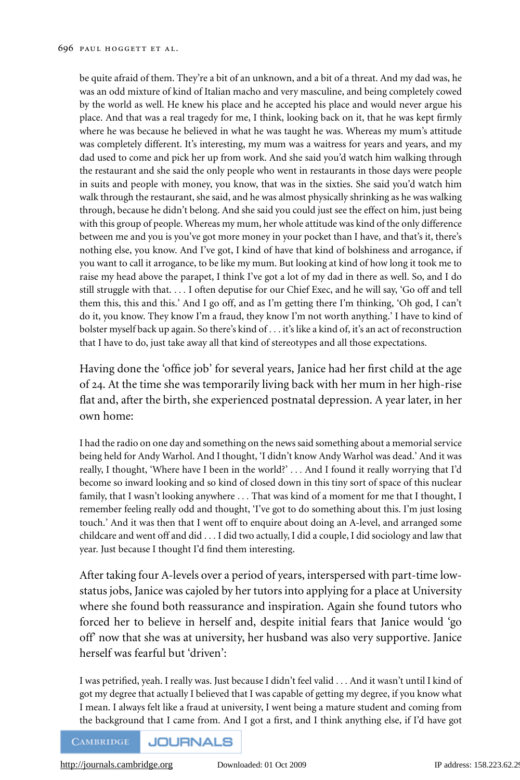be quite afraid of them. They're a bit of an unknown, and a bit of a threat. And my dad was, he was an odd mixture of kind of Italian macho and very masculine, and being completely cowed by the world as well. He knew his place and he accepted his place and would never argue his place. And that was a real tragedy for me, I think, looking back on it, that he was kept firmly where he was because he believed in what he was taught he was. Whereas my mum's attitude was completely different. It's interesting, my mum was a waitress for years and years, and my dad used to come and pick her up from work. And she said you'd watch him walking through the restaurant and she said the only people who went in restaurants in those days were people in suits and people with money, you know, that was in the sixties. She said you'd watch him walk through the restaurant, she said, and he was almost physically shrinking as he was walking through, because he didn't belong. And she said you could just see the effect on him, just being with this group of people. Whereas my mum, her whole attitude was kind of the only difference between me and you is you've got more money in your pocket than I have, and that's it, there's nothing else, you know. And I've got, I kind of have that kind of bolshiness and arrogance, if you want to call it arrogance, to be like my mum. But looking at kind of how long it took me to raise my head above the parapet, I think I've got a lot of my dad in there as well. So, and I do still struggle with that. *...* I often deputise for our Chief Exec, and he will say, 'Go off and tell them this, this and this.' And I go off, and as I'm getting there I'm thinking, 'Oh god, I can't do it, you know. They know I'm a fraud, they know I'm not worth anything.' I have to kind of bolster myself back up again. So there's kind of *...* it's like a kind of, it's an act of reconstruction that I have to do, just take away all that kind of stereotypes and all those expectations.

Having done the 'office job' for several years, Janice had her first child at the age of 24. At the time she was temporarily living back with her mum in her high-rise flat and, after the birth, she experienced postnatal depression. A year later, in her own home:

I had the radio on one day and something on the news said something about a memorial service being held for Andy Warhol. And I thought, 'I didn't know Andy Warhol was dead.' And it was really, I thought, 'Where have I been in the world?' *...* And I found it really worrying that I'd become so inward looking and so kind of closed down in this tiny sort of space of this nuclear family, that I wasn't looking anywhere *...* That was kind of a moment for me that I thought, I remember feeling really odd and thought, 'I've got to do something about this. I'm just losing touch.' And it was then that I went off to enquire about doing an A-level, and arranged some childcare and went off and did *...* I did two actually, I did a couple, I did sociology and law that year. Just because I thought I'd find them interesting.

After taking four A-levels over a period of years, interspersed with part-time lowstatus jobs, Janice was cajoled by her tutors into applying for a place at University where she found both reassurance and inspiration. Again she found tutors who forced her to believe in herself and, despite initial fears that Janice would 'go off' now that she was at university, her husband was also very supportive. Janice herself was fearful but 'driven':

I was petrified, yeah. I really was. Just because I didn't feel valid *...* And it wasn't until I kind of got my degree that actually I believed that I was capable of getting my degree, if you know what I mean. I always felt like a fraud at university, I went being a mature student and coming from the background that I came from. And I got a first, and I think anything else, if I'd have got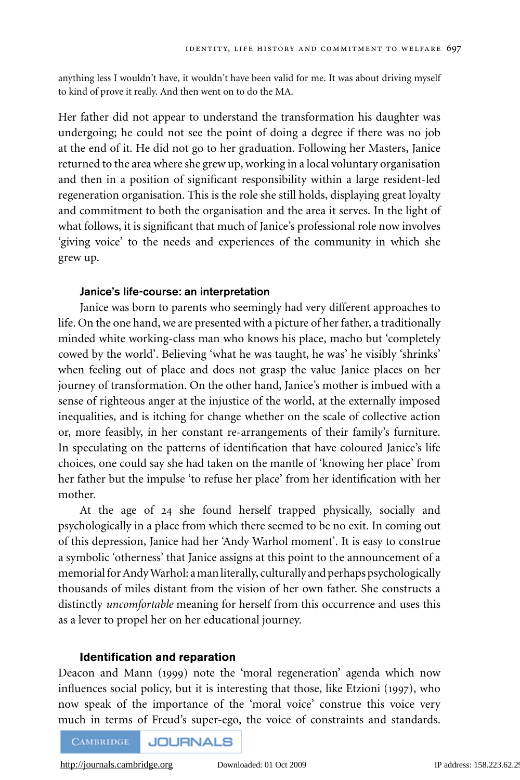anything less I wouldn't have, it wouldn't have been valid for me. It was about driving myself to kind of prove it really. And then went on to do the MA.

Her father did not appear to understand the transformation his daughter was undergoing; he could not see the point of doing a degree if there was no job at the end of it. He did not go to her graduation. Following her Masters, Janice returned to the area where she grew up, working in a local voluntary organisation and then in a position of significant responsibility within a large resident-led regeneration organisation. This is the role she still holds, displaying great loyalty and commitment to both the organisation and the area it serves. In the light of what follows, it is significant that much of Janice's professional role now involves 'giving voice' to the needs and experiences of the community in which she grew up.

#### **Janice's life-course: an interpretation**

Janice was born to parents who seemingly had very different approaches to life. On the one hand, we are presented with a picture of her father, a traditionally minded white working-class man who knows his place, macho but 'completely cowed by the world'. Believing 'what he was taught, he was' he visibly 'shrinks' when feeling out of place and does not grasp the value Janice places on her journey of transformation. On the other hand, Janice's mother is imbued with a sense of righteous anger at the injustice of the world, at the externally imposed inequalities, and is itching for change whether on the scale of collective action or, more feasibly, in her constant re-arrangements of their family's furniture. In speculating on the patterns of identification that have coloured Janice's life choices, one could say she had taken on the mantle of 'knowing her place' from her father but the impulse 'to refuse her place' from her identification with her mother.

At the age of 24 she found herself trapped physically, socially and psychologically in a place from which there seemed to be no exit. In coming out of this depression, Janice had her 'Andy Warhol moment'. It is easy to construe a symbolic 'otherness' that Janice assigns at this point to the announcement of a memorial for Andy Warhol: a man literally, culturally and perhaps psychologically thousands of miles distant from the vision of her own father. She constructs a distinctly *uncomfortable* meaning for herself from this occurrence and uses this as a lever to propel her on her educational journey.

### **Identification and reparation**

Deacon and Mann (1999) note the 'moral regeneration' agenda which now influences social policy, but it is interesting that those, like Etzioni (1997), who now speak of the importance of the 'moral voice' construe this voice very much in terms of Freud's super-ego, the voice of constraints and standards.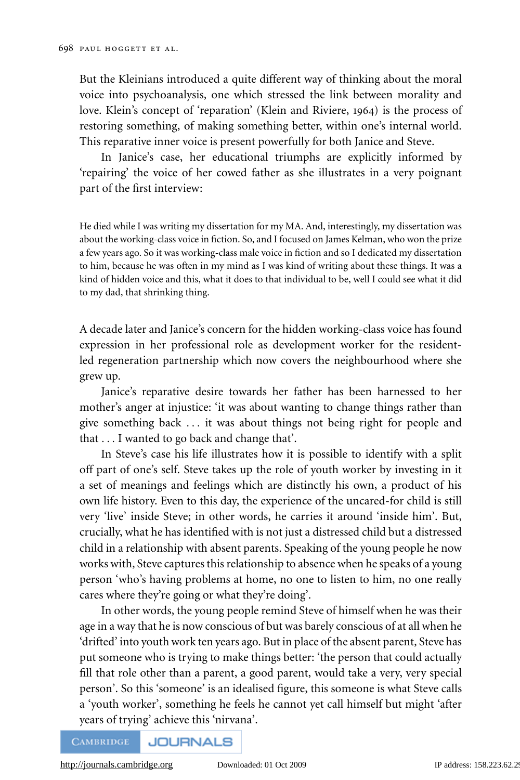But the Kleinians introduced a quite different way of thinking about the moral voice into psychoanalysis, one which stressed the link between morality and love. Klein's concept of 'reparation' (Klein and Riviere, 1964) is the process of restoring something, of making something better, within one's internal world. This reparative inner voice is present powerfully for both Janice and Steve.

In Janice's case, her educational triumphs are explicitly informed by 'repairing' the voice of her cowed father as she illustrates in a very poignant part of the first interview:

He died while I was writing my dissertation for my MA. And, interestingly, my dissertation was about the working-class voice in fiction. So, and I focused on James Kelman, who won the prize a few years ago. So it was working-class male voice in fiction and so I dedicated my dissertation to him, because he was often in my mind as I was kind of writing about these things. It was a kind of hidden voice and this, what it does to that individual to be, well I could see what it did to my dad, that shrinking thing.

A decade later and Janice's concern for the hidden working-class voice has found expression in her professional role as development worker for the residentled regeneration partnership which now covers the neighbourhood where she grew up.

Janice's reparative desire towards her father has been harnessed to her mother's anger at injustice: 'it was about wanting to change things rather than give something back *...* it was about things not being right for people and that *...* I wanted to go back and change that'.

In Steve's case his life illustrates how it is possible to identify with a split off part of one's self. Steve takes up the role of youth worker by investing in it a set of meanings and feelings which are distinctly his own, a product of his own life history. Even to this day, the experience of the uncared-for child is still very 'live' inside Steve; in other words, he carries it around 'inside him'. But, crucially, what he has identified with is not just a distressed child but a distressed child in a relationship with absent parents. Speaking of the young people he now works with, Steve captures this relationship to absence when he speaks of a young person 'who's having problems at home, no one to listen to him, no one really cares where they're going or what they're doing'.

In other words, the young people remind Steve of himself when he was their age in a way that he is now conscious of but was barely conscious of at all when he 'drifted' into youth work ten years ago. But in place of the absent parent, Steve has put someone who is trying to make things better: 'the person that could actually fill that role other than a parent, a good parent, would take a very, very special person'. So this 'someone' is an idealised figure, this someone is what Steve calls a 'youth worker', something he feels he cannot yet call himself but might 'after years of trying' achieve this 'nirvana'.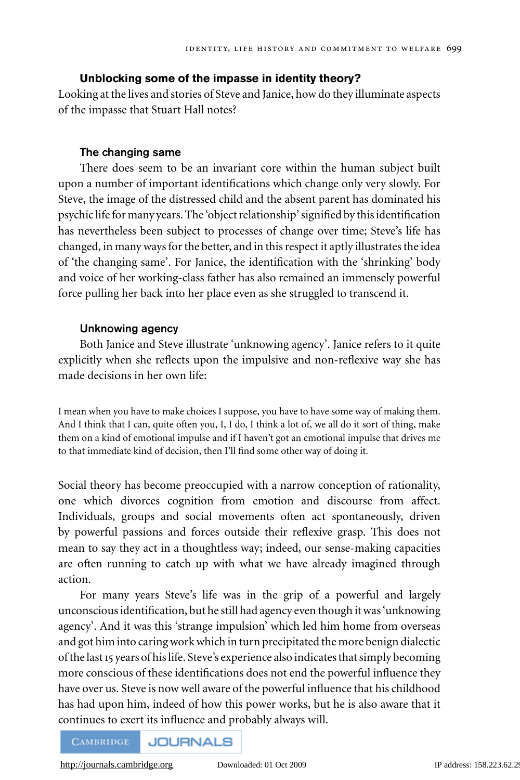### **Unblocking some of the impasse in identity theory?**

Looking at the lives and stories of Steve and Janice, how do they illuminate aspects of the impasse that Stuart Hall notes?

#### **The changing same**

There does seem to be an invariant core within the human subject built upon a number of important identifications which change only very slowly. For Steve, the image of the distressed child and the absent parent has dominated his psychic life for many years. The 'object relationship' signified by this identification has nevertheless been subject to processes of change over time; Steve's life has changed, in many ways for the better, and in this respect it aptly illustrates the idea of 'the changing same'. For Janice, the identification with the 'shrinking' body and voice of her working-class father has also remained an immensely powerful force pulling her back into her place even as she struggled to transcend it.

#### **Unknowing agency**

Both Janice and Steve illustrate 'unknowing agency'. Janice refers to it quite explicitly when she reflects upon the impulsive and non-reflexive way she has made decisions in her own life:

I mean when you have to make choices I suppose, you have to have some way of making them. And I think that I can, quite often you, I, I do, I think a lot of, we all do it sort of thing, make them on a kind of emotional impulse and if I haven't got an emotional impulse that drives me to that immediate kind of decision, then I'll find some other way of doing it.

Social theory has become preoccupied with a narrow conception of rationality, one which divorces cognition from emotion and discourse from affect. Individuals, groups and social movements often act spontaneously, driven by powerful passions and forces outside their reflexive grasp. This does not mean to say they act in a thoughtless way; indeed, our sense-making capacities are often running to catch up with what we have already imagined through action.

For many years Steve's life was in the grip of a powerful and largely unconscious identification, but he still had agency even though it was 'unknowing agency'. And it was this 'strange impulsion' which led him home from overseas and got him into caring work which in turn precipitated the more benign dialectic of the last15 years of his life. Steve's experience also indicates that simply becoming more conscious of these identifications does not end the powerful influence they have over us. Steve is now well aware of the powerful influence that his childhood has had upon him, indeed of how this power works, but he is also aware that it continues to exert its influence and probably always will.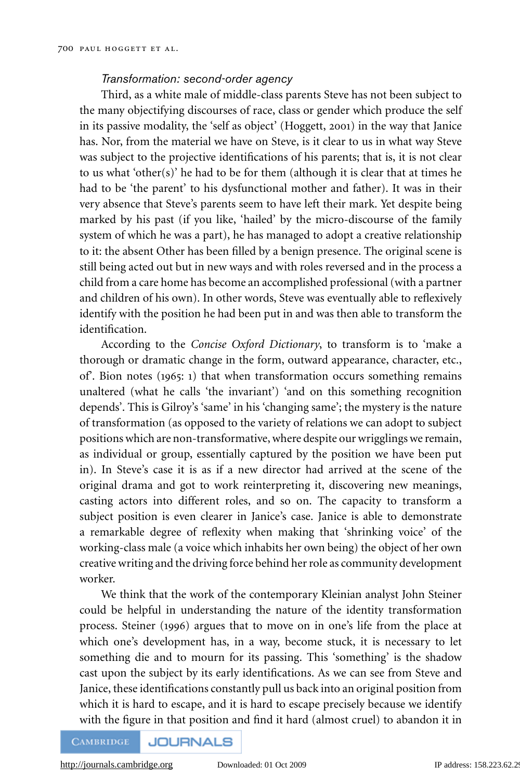### *Transformation: second-order agency*

Third, as a white male of middle-class parents Steve has not been subject to the many objectifying discourses of race, class or gender which produce the self in its passive modality, the 'self as object' (Hoggett, 2001) in the way that Janice has. Nor, from the material we have on Steve, is it clear to us in what way Steve was subject to the projective identifications of his parents; that is, it is not clear to us what 'other(s)' he had to be for them (although it is clear that at times he had to be 'the parent' to his dysfunctional mother and father). It was in their very absence that Steve's parents seem to have left their mark. Yet despite being marked by his past (if you like, 'hailed' by the micro-discourse of the family system of which he was a part), he has managed to adopt a creative relationship to it: the absent Other has been filled by a benign presence. The original scene is still being acted out but in new ways and with roles reversed and in the process a child from a care home has become an accomplished professional (with a partner and children of his own). In other words, Steve was eventually able to reflexively identify with the position he had been put in and was then able to transform the identification.

According to the *Concise Oxford Dictionary*, to transform is to 'make a thorough or dramatic change in the form, outward appearance, character, etc., of'. Bion notes (1965: 1) that when transformation occurs something remains unaltered (what he calls 'the invariant') 'and on this something recognition depends'. This is Gilroy's 'same' in his 'changing same'; the mystery is the nature of transformation (as opposed to the variety of relations we can adopt to subject positions which are non-transformative, where despite our wrigglings we remain, as individual or group, essentially captured by the position we have been put in). In Steve's case it is as if a new director had arrived at the scene of the original drama and got to work reinterpreting it, discovering new meanings, casting actors into different roles, and so on. The capacity to transform a subject position is even clearer in Janice's case. Janice is able to demonstrate a remarkable degree of reflexity when making that 'shrinking voice' of the working-class male (a voice which inhabits her own being) the object of her own creative writing and the driving force behind her role as community development worker.

We think that the work of the contemporary Kleinian analyst John Steiner could be helpful in understanding the nature of the identity transformation process. Steiner (1996) argues that to move on in one's life from the place at which one's development has, in a way, become stuck, it is necessary to let something die and to mourn for its passing. This 'something' is the shadow cast upon the subject by its early identifications. As we can see from Steve and Janice, these identifications constantly pull us back into an original position from which it is hard to escape, and it is hard to escape precisely because we identify with the figure in that position and find it hard (almost cruel) to abandon it in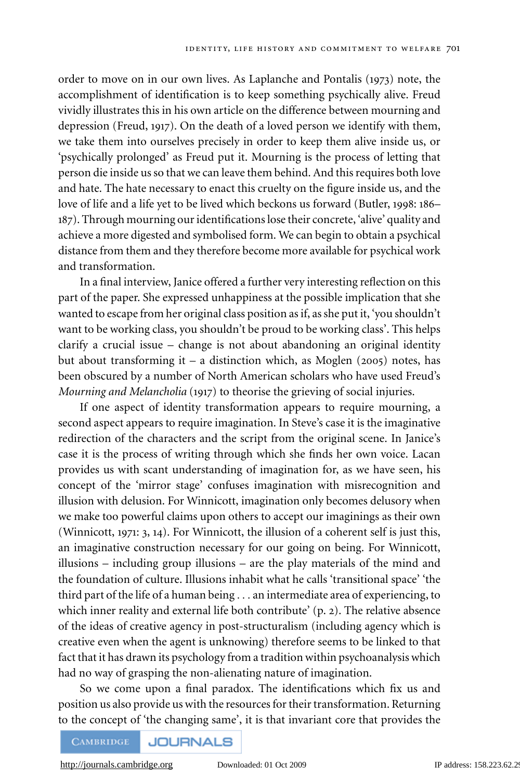order to move on in our own lives. As Laplanche and Pontalis (1973) note, the accomplishment of identification is to keep something psychically alive. Freud vividly illustrates this in his own article on the difference between mourning and depression (Freud, 1917). On the death of a loved person we identify with them, we take them into ourselves precisely in order to keep them alive inside us, or 'psychically prolonged' as Freud put it. Mourning is the process of letting that person die inside us so that we can leave them behind. And this requires both love and hate. The hate necessary to enact this cruelty on the figure inside us, and the love of life and a life yet to be lived which beckons us forward (Butler, 1998: 186– 187). Through mourning our identifications lose their concrete, 'alive' quality and achieve a more digested and symbolised form. We can begin to obtain a psychical distance from them and they therefore become more available for psychical work and transformation.

In a final interview, Janice offered a further very interesting reflection on this part of the paper. She expressed unhappiness at the possible implication that she wanted to escape from her original class position as if, as she put it, 'you shouldn't want to be working class, you shouldn't be proud to be working class'. This helps clarify a crucial issue – change is not about abandoning an original identity but about transforming it – a distinction which, as Moglen (2005) notes, has been obscured by a number of North American scholars who have used Freud's *Mourning and Melancholia* (1917) to theorise the grieving of social injuries.

If one aspect of identity transformation appears to require mourning, a second aspect appears to require imagination. In Steve's case it is the imaginative redirection of the characters and the script from the original scene. In Janice's case it is the process of writing through which she finds her own voice. Lacan provides us with scant understanding of imagination for, as we have seen, his concept of the 'mirror stage' confuses imagination with misrecognition and illusion with delusion. For Winnicott, imagination only becomes delusory when we make too powerful claims upon others to accept our imaginings as their own (Winnicott, 1971: 3, 14). For Winnicott, the illusion of a coherent self is just this, an imaginative construction necessary for our going on being. For Winnicott, illusions – including group illusions – are the play materials of the mind and the foundation of culture. Illusions inhabit what he calls 'transitional space' 'the third part of the life of a human being *...* an intermediate area of experiencing, to which inner reality and external life both contribute' (p. 2). The relative absence of the ideas of creative agency in post-structuralism (including agency which is creative even when the agent is unknowing) therefore seems to be linked to that fact that it has drawn its psychology from a tradition within psychoanalysis which had no way of grasping the non-alienating nature of imagination.

So we come upon a final paradox. The identifications which fix us and position us also provide us with the resources for their transformation. Returning to the concept of 'the changing same', it is that invariant core that provides the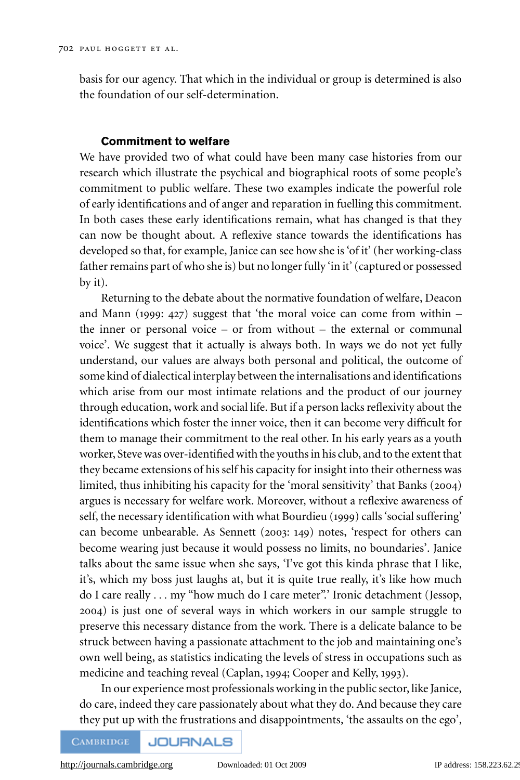basis for our agency. That which in the individual or group is determined is also the foundation of our self-determination.

### **Commitment to welfare**

We have provided two of what could have been many case histories from our research which illustrate the psychical and biographical roots of some people's commitment to public welfare. These two examples indicate the powerful role of early identifications and of anger and reparation in fuelling this commitment. In both cases these early identifications remain, what has changed is that they can now be thought about. A reflexive stance towards the identifications has developed so that, for example, Janice can see how she is 'of it' (her working-class father remains part of who she is) but no longer fully 'in it' (captured or possessed by it).

Returning to the debate about the normative foundation of welfare, Deacon and Mann (1999: 427) suggest that 'the moral voice can come from within – the inner or personal voice – or from without – the external or communal voice'. We suggest that it actually is always both. In ways we do not yet fully understand, our values are always both personal and political, the outcome of some kind of dialectical interplay between the internalisations and identifications which arise from our most intimate relations and the product of our journey through education, work and social life. But if a person lacks reflexivity about the identifications which foster the inner voice, then it can become very difficult for them to manage their commitment to the real other. In his early years as a youth worker, Steve was over-identified with the youths in his club, and to the extent that they became extensions of his self his capacity for insight into their otherness was limited, thus inhibiting his capacity for the 'moral sensitivity' that Banks (2004) argues is necessary for welfare work. Moreover, without a reflexive awareness of self, the necessary identification with what Bourdieu (1999) calls 'social suffering' can become unbearable. As Sennett (2003: 149) notes, 'respect for others can become wearing just because it would possess no limits, no boundaries'. Janice talks about the same issue when she says, 'I've got this kinda phrase that I like, it's, which my boss just laughs at, but it is quite true really, it's like how much do I care really *...* my "how much do I care meter".' Ironic detachment (Jessop, 2004) is just one of several ways in which workers in our sample struggle to preserve this necessary distance from the work. There is a delicate balance to be struck between having a passionate attachment to the job and maintaining one's own well being, as statistics indicating the levels of stress in occupations such as medicine and teaching reveal (Caplan, 1994; Cooper and Kelly, 1993).

In our experience most professionals working in the public sector, like Janice, do care, indeed they care passionately about what they do. And because they care they put up with the frustrations and disappointments, 'the assaults on the ego',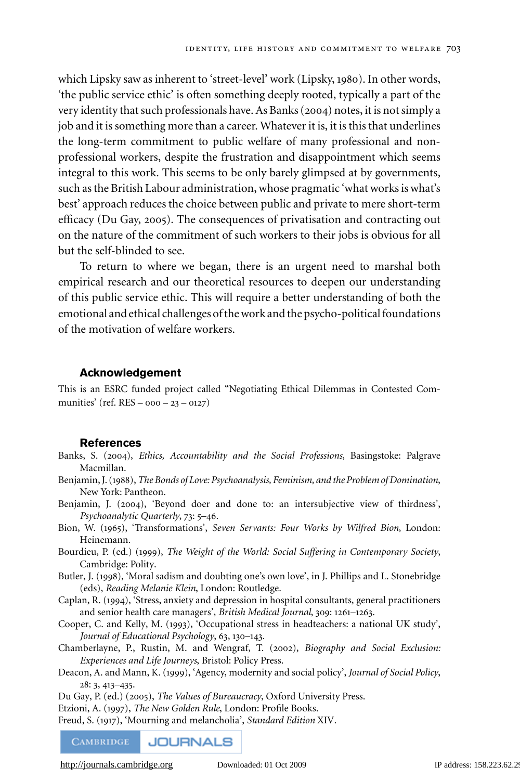which Lipsky saw as inherent to 'street-level' work (Lipsky, 1980). In other words, 'the public service ethic' is often something deeply rooted, typically a part of the very identity that such professionals have. As Banks (2004) notes, it is not simply a job and it is something more than a career. Whatever it is, it is this that underlines the long-term commitment to public welfare of many professional and nonprofessional workers, despite the frustration and disappointment which seems integral to this work. This seems to be only barely glimpsed at by governments, such as the British Labour administration, whose pragmatic 'what works is what's best' approach reduces the choice between public and private to mere short-term efficacy (Du Gay, 2005). The consequences of privatisation and contracting out on the nature of the commitment of such workers to their jobs is obvious for all but the self-blinded to see.

To return to where we began, there is an urgent need to marshal both empirical research and our theoretical resources to deepen our understanding of this public service ethic. This will require a better understanding of both the emotional and ethical challenges of the work and the psycho-political foundations of the motivation of welfare workers.

#### **Acknowledgement**

This is an ESRC funded project called "Negotiating Ethical Dilemmas in Contested Communities' (ref. RES – 000 – 23 – 0127)

#### **References**

- Banks, S. (2004), *Ethics, Accountability and the Social Professions*, Basingstoke: Palgrave Macmillan.
- Benjamin, J. (1988),*The Bonds of Love: Psychoanalysis, Feminism, andthe Problem of Domination*, New York: Pantheon.
- Benjamin, J. (2004), 'Beyond doer and done to: an intersubjective view of thirdness', *Psychoanalytic Quarterly*, 73: 5–46.
- Bion, W. (1965), 'Transformations', *Seven Servants: Four Works by Wilfred Bion*, London: Heinemann.
- Bourdieu, P. (ed.) (1999), *The Weight of the World: Social Suffering in Contemporary Society*, Cambridge: Polity.
- Butler, J. (1998), 'Moral sadism and doubting one's own love', in J. Phillips and L. Stonebridge (eds), *Reading Melanie Klein*, London: Routledge.
- Caplan, R. (1994), 'Stress, anxiety and depression in hospital consultants, general practitioners and senior health care managers', *British Medical Journal*, 309: 1261–1263.
- Cooper, C. and Kelly, M. (1993), 'Occupational stress in headteachers: a national UK study', *Journal of Educational Psychology*, 63, 130–143.
- Chamberlayne, P., Rustin, M. and Wengraf, T. (2002), *Biography and Social Exclusion: Experiences and Life Journeys*, Bristol: Policy Press.
- Deacon, A. and Mann, K. (1999), 'Agency, modernity and social policy', *Journal of Social Policy*, 28: 3, 413–435.
- Du Gay, P. (ed.) (2005), *The Values of Bureaucracy*, Oxford University Press.
- Etzioni, A. (1997), *The New Golden Rule*, London: Profile Books.

Freud, S. (1917), 'Mourning and melancholia', *Standard Edition* XIV.

**CAMBRIDGE JOURNALS** 

<http://journals.cambridge.org> Downloaded: 01 Oct 2009 IP address: 158.223.62.29